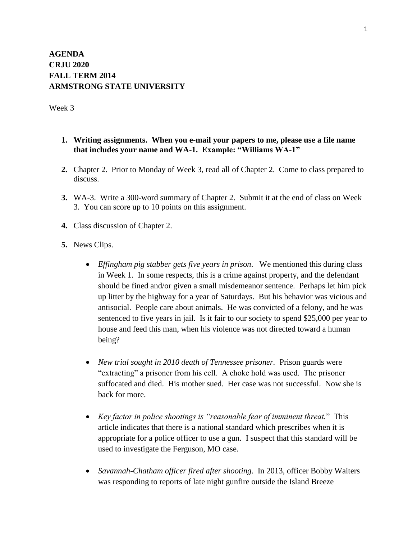## **AGENDA CRJU 2020 FALL TERM 2014 ARMSTRONG STATE UNIVERSITY**

Week 3

- **1. Writing assignments. When you e-mail your papers to me, please use a file name that includes your name and WA-1. Example: "Williams WA-1"**
- **2.** Chapter 2. Prior to Monday of Week 3, read all of Chapter 2. Come to class prepared to discuss.
- **3.** WA-3. Write a 300-word summary of Chapter 2. Submit it at the end of class on Week 3. You can score up to 10 points on this assignment.
- **4.** Class discussion of Chapter 2.
- **5.** News Clips.
	- *Effingham pig stabber gets five years in prison*. We mentioned this during class in Week 1. In some respects, this is a crime against property, and the defendant should be fined and/or given a small misdemeanor sentence. Perhaps let him pick up litter by the highway for a year of Saturdays. But his behavior was vicious and antisocial. People care about animals. He was convicted of a felony, and he was sentenced to five years in jail. Is it fair to our society to spend \$25,000 per year to house and feed this man, when his violence was not directed toward a human being?
	- *New trial sought in 2010 death of Tennessee prisoner.* Prison guards were "extracting" a prisoner from his cell. A choke hold was used. The prisoner suffocated and died. His mother sued. Her case was not successful. Now she is back for more.
	- *Key factor in police shootings is "reasonable fear of imminent threat.*" This article indicates that there is a national standard which prescribes when it is appropriate for a police officer to use a gun. I suspect that this standard will be used to investigate the Ferguson, MO case.
	- *Savannah-Chatham officer fired after shooting*. In 2013, officer Bobby Waiters was responding to reports of late night gunfire outside the Island Breeze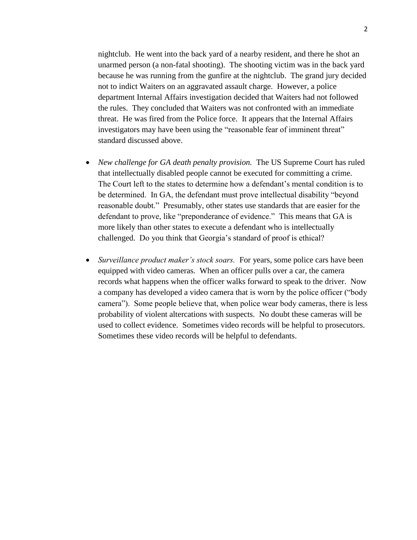nightclub. He went into the back yard of a nearby resident, and there he shot an unarmed person (a non-fatal shooting). The shooting victim was in the back yard because he was running from the gunfire at the nightclub. The grand jury decided not to indict Waiters on an aggravated assault charge. However, a police department Internal Affairs investigation decided that Waiters had not followed the rules. They concluded that Waiters was not confronted with an immediate threat. He was fired from the Police force. It appears that the Internal Affairs investigators may have been using the "reasonable fear of imminent threat" standard discussed above.

- *New challenge for GA death penalty provision.* The US Supreme Court has ruled that intellectually disabled people cannot be executed for committing a crime. The Court left to the states to determine how a defendant's mental condition is to be determined. In GA, the defendant must prove intellectual disability "beyond reasonable doubt." Presumably, other states use standards that are easier for the defendant to prove, like "preponderance of evidence." This means that GA is more likely than other states to execute a defendant who is intellectually challenged. Do you think that Georgia's standard of proof is ethical?
- *Surveillance product maker's stock soars.* For years, some police cars have been equipped with video cameras. When an officer pulls over a car, the camera records what happens when the officer walks forward to speak to the driver. Now a company has developed a video camera that is worn by the police officer ("body camera"). Some people believe that, when police wear body cameras, there is less probability of violent altercations with suspects. No doubt these cameras will be used to collect evidence. Sometimes video records will be helpful to prosecutors. Sometimes these video records will be helpful to defendants.